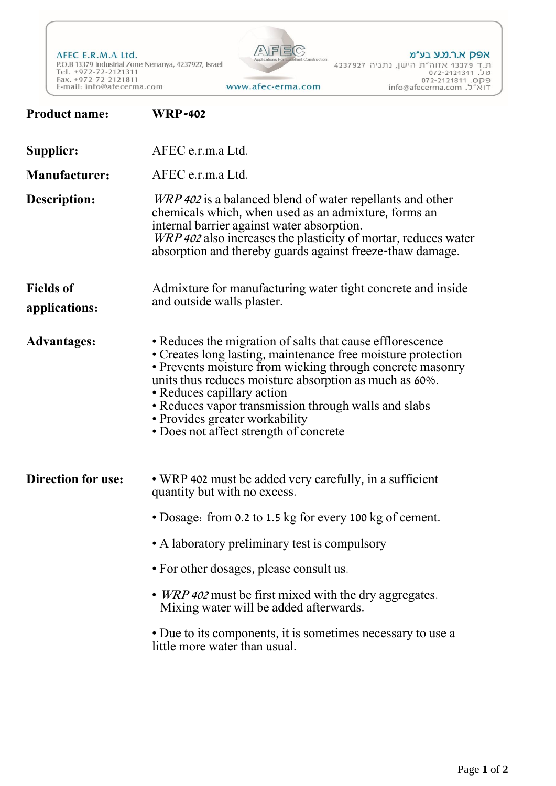AFEC E.R.M.A Ltd. P.O.B 13379 Industrial Zone Nenanya, 4237927, Israel<br>Tel. +972-72-2121311<br>Fax. +972-72-2121311 E-mail: info@afecerma.com



www.afec-erma.com

| <b>Product name:</b>              | <b>WRP-402</b>                                                                                                                                                                                                                                                                                                                                                                                                     |
|-----------------------------------|--------------------------------------------------------------------------------------------------------------------------------------------------------------------------------------------------------------------------------------------------------------------------------------------------------------------------------------------------------------------------------------------------------------------|
| Supplier:                         | AFEC e.r.m.a Ltd.                                                                                                                                                                                                                                                                                                                                                                                                  |
| <b>Manufacturer:</b>              | AFEC e.r.m.a Ltd.                                                                                                                                                                                                                                                                                                                                                                                                  |
| Description:                      | <i>WRP 402</i> is a balanced blend of water repellants and other<br>chemicals which, when used as an admixture, forms an<br>internal barrier against water absorption.<br>WRP 402 also increases the plasticity of mortar, reduces water<br>absorption and thereby guards against freeze-thaw damage.                                                                                                              |
| <b>Fields of</b><br>applications: | Admixture for manufacturing water tight concrete and inside<br>and outside walls plaster.                                                                                                                                                                                                                                                                                                                          |
| <b>Advantages:</b>                | • Reduces the migration of salts that cause efflorescence<br>• Creates long lasting, maintenance free moisture protection<br>• Prevents moisture from wicking through concrete masonry<br>units thus reduces moisture absorption as much as 60%.<br>• Reduces capillary action<br>• Reduces vapor transmission through walls and slabs<br>• Provides greater workability<br>• Does not affect strength of concrete |
| <b>Direction for use:</b>         | • WRP 402 must be added very carefully, in a sufficient<br>quantity but with no excess.                                                                                                                                                                                                                                                                                                                            |
|                                   | • Dosage: from 0.2 to 1.5 kg for every 100 kg of cement.                                                                                                                                                                                                                                                                                                                                                           |
|                                   | • A laboratory preliminary test is compulsory                                                                                                                                                                                                                                                                                                                                                                      |
|                                   | • For other dosages, please consult us.                                                                                                                                                                                                                                                                                                                                                                            |
|                                   | • <i>WRP 402</i> must be first mixed with the dry aggregates.<br>Mixing water will be added afterwards.                                                                                                                                                                                                                                                                                                            |
|                                   | • Due to its components, it is sometimes necessary to use a<br>little more water than usual.                                                                                                                                                                                                                                                                                                                       |